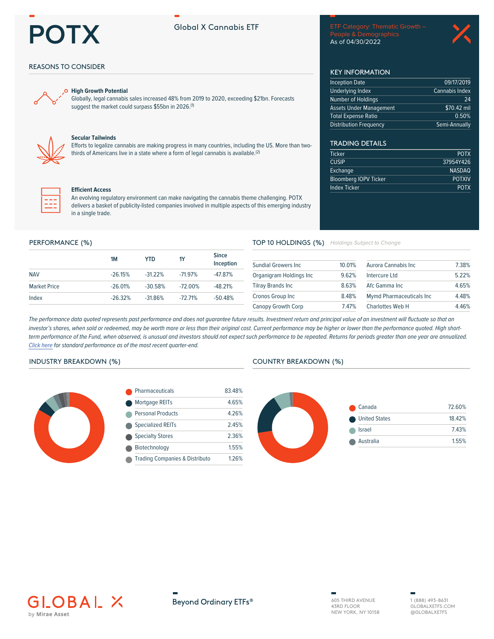# **POTX**

## **Global X Cannabis ETF**

People & Demographics As of 04/30/2022

09/17/2019

\$70.42 mil  $0.50%$ 

Semi-Annually

24

**POTX** 

37954Y426 **NASDAQ** 

**POTXIV** 

**POTX** 

Cannabis Index

**KEY INFORMATION** 

Assets Under Management

**Inception Date** 

**Underlying Index** 

Number of Holdings

**Total Expense Ratio Distribution Frequency** 

**TRADING DETAILS** 

**Bloomberg IOPV Ticker** 

**Ticker** 

**CUSIP** 

Exchange

**Index Ticker** 



## **REASONS TO CONSIDER**



#### **High Growth Potential**

Globally, legal cannabis sales increased 48% from 2019 to 2020, exceeding \$21bn. Forecasts suggest the market could surpass \$55bn in 2026.<sup>(1)</sup>



## **Secular Tailwinds**

Efforts to legalize cannabis are making progress in many countries, including the US. More than twothirds of Americans live in a state where a form of legal cannabis is available.<sup>(2)</sup>



#### **Efficient Access**

An evolving regulatory environment can make navigating the cannabis theme challenging. POTX delivers a basket of publicity-listed companies involved in multiple aspects of this emerging industry in a single trade.

#### PERFORMANCE (%)

|                     | 1M        | YTD        | 1Y         | <b>Since</b><br>Inception |
|---------------------|-----------|------------|------------|---------------------------|
| <b>NAV</b>          | $-26.15%$ | $-31.22\%$ | $-7197%$   | $-47.87%$                 |
| <b>Market Price</b> | $-26.01%$ | $-30.58\%$ | $-72.00\%$ | $-48.21%$                 |
| Index               | $-26.32%$ | $-31.86%$  | $-72.71\%$ | $-50.48%$                 |

## TOP 10 HOLDINGS (%) Holdings Subject to Change

| <b>Sundial Growers Inc.</b> | 10.01% | Aurora Cannabis Inc              | 7.38% |
|-----------------------------|--------|----------------------------------|-------|
| Organigram Holdings Inc     | 962%   | Intercure Ltd                    | 5.22% |
| <b>Tilray Brands Inc.</b>   | 863%   | Afc Gamma Inc                    | 4.65% |
| Cronos Group Inc            | 8.48%  | <b>Mymd Pharmaceuticals Inc.</b> | 4.48% |
| <b>Canopy Growth Corp</b>   | 747%   | <b>Charlottes Web H</b>          | 446%  |

The performance data quoted represents past performance and does not guarantee future results. Investment return and principal value of an investment will fluctuate so that an investor's shares, when sold or redeemed, may be worth more or less than their original cost. Current performance may be higher or lower than the performance quoted. High shortterm performance of the Fund, when observed, is unusual and investors should not expect such performance to be repeated. Returns for periods greater than one year are annualized. Click here for standard performance as of the most recent quarter-end.

## **INDUSTRY BREAKDOWN (%)**



| <b>Pharmaceuticals</b>                    | 83.48% |
|-------------------------------------------|--------|
| Mortgage REITs                            | 4.65%  |
| <b>Personal Products</b>                  | 4 26%  |
| <b>Specialized REITs</b>                  | 245%   |
| <b>Specialty Stores</b>                   | 2.36%  |
| Biotechnology                             | 1.55%  |
| <b>Trading Companies &amp; Distributo</b> | 1.26%  |

#### **COUNTRY BREAKDOWN (%)**